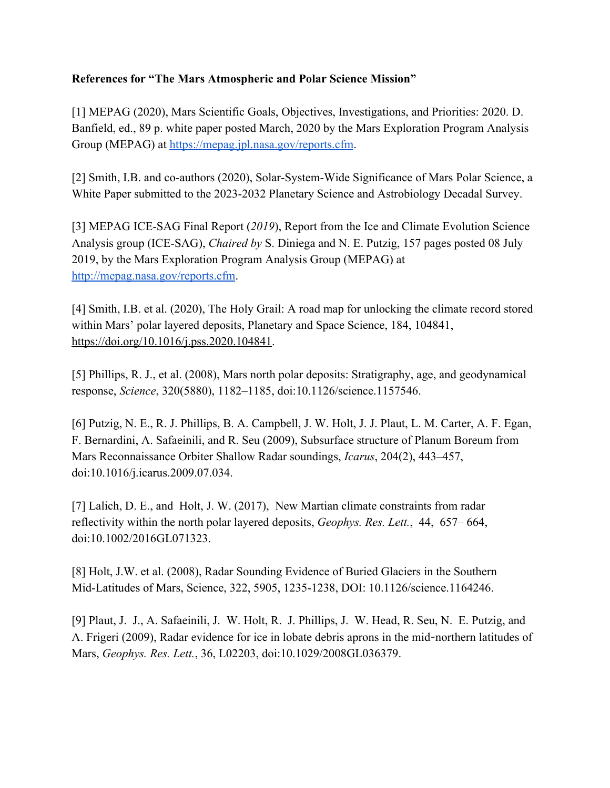## **References for "The Mars Atmospheric and Polar Science Mission"**

[1] MEPAG (2020), Mars Scientific Goals, Objectives, Investigations, and Priorities: 2020. D. Banfield, ed., 89 p. white paper posted March, 2020 by the Mars Exploration Program Analysis Group (MEPAG) at [https://mepag.jpl.nasa.gov/reports.cfm.](https://mepag.jpl.nasa.gov/reports.cfm)

[2] Smith, I.B. and co-authors (2020), Solar-System-Wide Significance of Mars Polar Science, a White Paper submitted to the 2023-2032 Planetary Science and Astrobiology Decadal Survey.

[3] MEPAG ICE-SAG Final Report (*2019*), Report from the Ice and Climate Evolution Science Analysis group (ICE-SAG), *Chaired by* S. Diniega and N. E. Putzig, 157 pages posted 08 July 2019, by the Mars Exploration Program Analysis Group (MEPAG) at <http://mepag.nasa.gov/reports.cfm>.

[4] Smith, I.B. et al. (2020), The Holy Grail: A road map for unlocking the climate record stored within Mars' polar layered deposits, Planetary and Space Science, 184, 104841, <https://doi.org/10.1016/j.pss.2020.104841>.

[5] Phillips, R. J., et al. (2008), Mars north polar deposits: Stratigraphy, age, and geodynamical response, *Science*, 320(5880), 1182–1185, doi[:10.1126/science.1157546.](https://doi.org/10.1126/science.1157546)

[6] Putzig, N. E., R. J. Phillips, B. A. Campbell, J. W. Holt, J. J. Plaut, L. M. Carter, A. F. Egan, F. Bernardini, A. Safaeinili, and R. Seu (2009), Subsurface structure of Planum Boreum from Mars Reconnaissance Orbiter Shallow Radar soundings, *Icarus*, 204(2), 443–457, doi:[10.1016/j.icarus.2009.07.034.](https://doi.org/10.1016/j.icarus.2009.07.034)

[7] Lalich, D. E., and Holt, J. W. (2017), New Martian climate constraints from radar reflectivity within the north polar layered deposits, *Geophys. Res. Lett.*, 44, 657– 664, doi:[10.1002/2016GL071323.](https://doi.org/10.1002/2016GL071323)

[8] Holt, J.W. et al. (2008), Radar Sounding Evidence of Buried Glaciers in the Southern Mid-Latitudes of Mars, Science, 322, 5905, 1235-1238, DOI: 10.1126/science.1164246.

[9] Plaut, J. J., A. Safaeinili, J. W. Holt, R. J. Phillips, J. W. Head, R. Seu, N. E. Putzig, and A. Frigeri (2009), Radar evidence for ice in lobate debris aprons in the mid-northern latitudes of Mars, *Geophys. Res. Lett.*, 36, L02203, doi:[10.1029/2008GL036379.](https://doi.org/10.1029/2008GL036379)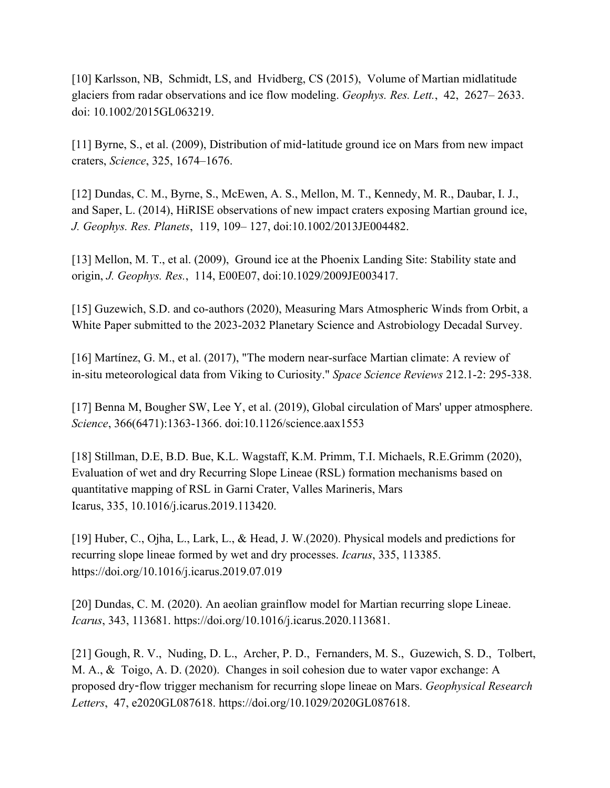[10] Karlsson, NB, Schmidt, LS, and Hvidberg, CS (2015), Volume of Martian midlatitude glaciers from radar observations and ice flow modeling. *Geophys. Res. Lett.*, 42, 2627– 2633. doi: [10.1002/2015GL063219.](https://doi.org/10.1002/2015GL063219)

[11] Byrne, S., et al. (2009), Distribution of mid-latitude ground ice on Mars from new impact craters, *Science*, 325, 1674–1676.

[12] Dundas, C. M., Byrne, S., McEwen, A. S., Mellon, M. T., Kennedy, M. R., Daubar, I. J., and Saper, L. (2014), HiRISE observations of new impact craters exposing Martian ground ice, *J. Geophys. Res. Planets*, 119, 109– 127, doi[:10.1002/2013JE004482.](https://doi.org/10.1002/2013JE004482)

[13] Mellon, M. T., et al. (2009), Ground ice at the Phoenix Landing Site: Stability state and origin, *J. Geophys. Res.*, 114, E00E07, doi:[10.1029/2009JE003417.](https://doi.org/10.1029/2009JE003417)

[15] Guzewich, S.D. and co-authors (2020), Measuring Mars Atmospheric Winds from Orbit, a White Paper submitted to the 2023-2032 Planetary Science and Astrobiology Decadal Survey.

[16] Martínez, G. M., et al. (2017), "The modern near-surface Martian climate: A review of in-situ meteorological data from Viking to Curiosity." *Space Science Reviews* 212.1-2: 295-338.

[17] Benna M, Bougher SW, Lee Y, et al. (2019), Global circulation of Mars' upper atmosphere. *Science*, 366(6471):1363-1366. doi:10.1126/science.aax1553

[18] Stillman, D.E, B.D. Bue, K.L. Wagstaff, K.M. Primm, T.I. Michaels, R.E.Grimm (2020), Evaluation of wet and dry Recurring Slope Lineae (RSL) formation mechanisms based on quantitative mapping of RSL in Garni Crater, Valles Marineris, Mars Icarus, 335, [10.1016/j.icarus.2019.113420](https://doi.org/10.1016/j.icarus.2019.113420).

[19] Huber, C., Ojha, L., Lark, L., & Head, J. W.(2020). Physical models and predictions for recurring slope lineae formed by wet and dry processes. *Icarus*, 335, 113385. <https://doi.org/10.1016/j.icarus.2019.07.019>

[20] Dundas, C. M. (2020). An aeolian grainflow model for Martian recurring slope Lineae. *Icarus*, 343, 113681. [https://doi.org/10.1016/j.icarus.2020.113681.](https://doi.org/10.1016/j.icarus.2020.113681)

[21] Gough, R. V., Nuding, D. L., Archer, P. D., Fernanders, M. S., Guzewich, S. D., Tolbert, M. A., & Toigo, A. D. (2020). Changes in soil cohesion due to water vapor exchange: A proposed dry-flow trigger mechanism for recurring slope lineae on Mars. *Geophysical Research Letters*, 47, e2020GL087618. [https://doi.org/10.1029/2020GL087618.](https://doi.org/10.1029/2020GL087618)